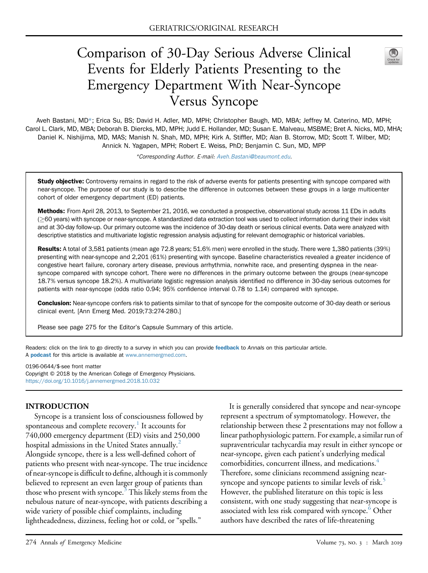# Comparison of 30-Day Serious Adverse Clinical Events for Elderly Patients Presenting to the Emergency Department With Near-Syncope Versus Syncope



Aveh Bastani, MD\*; Erica Su, BS; David H. Adler, MD, MPH; Christopher Baugh, MD, MBA; Jeffrey M. Caterino, MD, MPH; Carol L. Clark, MD, MBA; Deborah B. Diercks, MD, MPH; Judd E. Hollander, MD; Susan E. Malveau, MSBME; Bret A. Nicks, MD, MHA; Daniel K. Nishijima, MD, MAS; Manish N. Shah, MD, MPH; Kirk A. Stiffler, MD; Alan B. Storrow, MD; Scott T. Wilber, MD; Annick N. Yagapen, MPH; Robert E. Weiss, PhD; Benjamin C. Sun, MD, MPP

\*Corresponding Author. E-mail: Aveh.Bastani@beaumont.edu.

Study objective: Controversy remains in regard to the risk of adverse events for patients presenting with syncope compared with near-syncope. The purpose of our study is to describe the difference in outcomes between these groups in a large multicenter cohort of older emergency department (ED) patients.

Methods: From April 28, 2013, to September 21, 2016, we conducted a prospective, observational study across 11 EDs in adults ( $\geq$ 60 years) with syncope or near-syncope. A standardized data extraction tool was used to collect information during their index visit and at 30-day follow-up. Our primary outcome was the incidence of 30-day death or serious clinical events. Data were analyzed with descriptive statistics and multivariate logistic regression analysis adjusting for relevant demographic or historical variables.

Results: A total of 3,581 patients (mean age 72.8 years; 51.6% men) were enrolled in the study. There were 1,380 patients (39%) presenting with near-syncope and 2,201 (61%) presenting with syncope. Baseline characteristics revealed a greater incidence of congestive heart failure, coronary artery disease, previous arrhythmia, nonwhite race, and presenting dyspnea in the nearsyncope compared with syncope cohort. There were no differences in the primary outcome between the groups (near-syncope 18.7% versus syncope 18.2%). A multivariate logistic regression analysis identified no difference in 30-day serious outcomes for patients with near-syncope (odds ratio 0.94; 95% confidence interval 0.78 to 1.14) compared with syncope.

Conclusion: Near-syncope confers risk to patients similar to that of syncope for the composite outcome of 30-day death or serious clinical event. [Ann Emerg Med. 2019;73:274-280.]

Please see page 275 for the Editor's Capsule Summary of this article.

Readers: click on the link to go directly to a survey in which you can provide feedback to Annals on this particular article. A **podcast** for this article is available at www.annemergmed.com.

0196-0644/\$-see front matter Copyright © 2018 by the American College of Emergency Physicians. https://doi.org/10.1016/j.annemergmed.2018.10.032

#### INTRODUCTION

Syncope is a transient loss of consciousness followed by spontaneous and complete recovery.<sup>1</sup> It accounts for 740,000 emergency department (ED) visits and 250,000 hospital admissions in the United States annually.<sup>2</sup> Alongside syncope, there is a less well-defined cohort of patients who present with near-syncope. The true incidence of near-syncope is difficult to define, although it is commonly believed to represent an even larger group of patients than those who present with syncope.<sup>3</sup> This likely stems from the nebulous nature of near-syncope, with patients describing a wide variety of possible chief complaints, including lightheadedness, dizziness, feeling hot or cold, or "spells."

It is generally considered that syncope and near-syncope represent a spectrum of symptomatology. However, the relationship between these 2 presentations may not follow a linear pathophysiologic pattern. For example, a similar run of supraventricular tachycardia may result in either syncope or near-syncope, given each patient's underlying medical comorbidities, concurrent illness, and medications.<sup>4</sup> Therefore, some clinicians recommend assigning nearsyncope and syncope patients to similar levels of risk.<sup>5</sup> However, the published literature on this topic is less consistent, with one study suggesting that near-syncope is associated with less risk compared with syncope.<sup>6</sup> Other authors have described the rates of life-threatening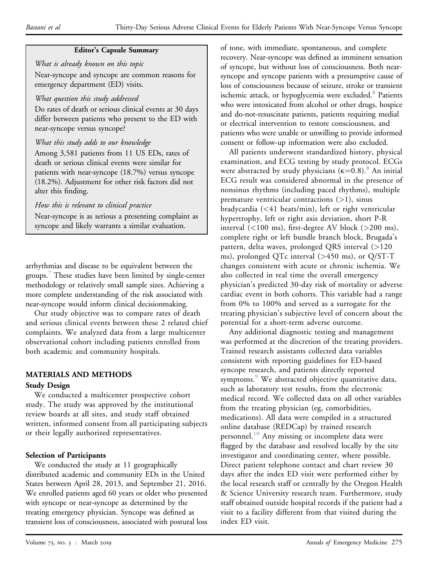### Editor's Capsule Summary

What is already known on this topic Near-syncope and syncope are common reasons for emergency department (ED) visits.

#### What question this study addressed

Do rates of death or serious clinical events at 30 days differ between patients who present to the ED with near-syncope versus syncope?

## What this study adds to our knowledge

Among 3,581 patients from 11 US EDs, rates of death or serious clinical events were similar for patients with near-syncope (18.7%) versus syncope (18.2%). Adjustment for other risk factors did not alter this finding.

How this is relevant to clinical practice

Near-syncope is as serious a presenting complaint as syncope and likely warrants a similar evaluation.

arrhythmias and disease to be equivalent between the groups.<sup>7</sup> These studies have been limited by single-center methodology or relatively small sample sizes. Achieving a more complete understanding of the risk associated with near-syncope would inform clinical decisionmaking.

Our study objective was to compare rates of death and serious clinical events between these 2 related chief complaints. We analyzed data from a large multicenter observational cohort including patients enrolled from both academic and community hospitals.

# MATERIALS AND METHODS

## Study Design

We conducted a multicenter prospective cohort study. The study was approved by the institutional review boards at all sites, and study staff obtained written, informed consent from all participating subjects or their legally authorized representatives.

## Selection of Participants

We conducted the study at 11 geographically distributed academic and community EDs in the United States between April 28, 2013, and September 21, 2016. We enrolled patients aged 60 years or older who presented with syncope or near-syncope as determined by the treating emergency physician. Syncope was defined as transient loss of consciousness, associated with postural loss

of tone, with immediate, spontaneous, and complete recovery. Near-syncope was defined as imminent sensation of syncope, but without loss of consciousness. Both nearsyncope and syncope patients with a presumptive cause of loss of consciousness because of seizure, stroke or transient ischemic attack, or hypoglycemia were excluded.<sup>8</sup> Patients who were intoxicated from alcohol or other drugs, hospice and do-not-resuscitate patients, patients requiring medial or electrical intervention to restore consciousness, and patients who were unable or unwilling to provide informed consent or follow-up information were also excluded.

All patients underwent standardized history, physical examination, and ECG testing by study protocol. ECGs were abstracted by study physicians  $(\kappa=0.8)$ .<sup>8</sup> An initial ECG result was considered abnormal in the presence of nonsinus rhythms (including paced rhythms), multiple premature ventricular contractions  $(>1)$ , sinus bradycardia (<41 beats/min), left or right ventricular hypertrophy, left or right axis deviation, short P-R interval (<100 ms), first-degree AV block (>200 ms), complete right or left bundle branch block, Brugada's pattern, delta waves, prolonged QRS interval (>120 ms), prolonged QTc interval (>450 ms), or Q/ST-T changes consistent with acute or chronic ischemia. We also collected in real time the overall emergency physician's predicted 30-day risk of mortality or adverse cardiac event in both cohorts. This variable had a range from 0% to 100% and served as a surrogate for the treating physician's subjective level of concern about the potential for a short-term adverse outcome.

Any additional diagnostic testing and management was performed at the discretion of the treating providers. Trained research assistants collected data variables consistent with reporting guidelines for ED-based syncope research, and patients directly reported symptoms.<sup>9</sup> We abstracted objective quantitative data, such as laboratory test results, from the electronic medical record. We collected data on all other variables from the treating physician (eg, comorbidities, medications). All data were compiled in a structured online database (REDCap) by trained research personnel.<sup>10</sup> Any missing or incomplete data were flagged by the database and resolved locally by the site investigator and coordinating center, where possible. Direct patient telephone contact and chart review 30 days after the index ED visit were performed either by the local research staff or centrally by the Oregon Health & Science University research team. Furthermore, study staff obtained outside hospital records if the patient had a visit to a facility different from that visited during the index ED visit.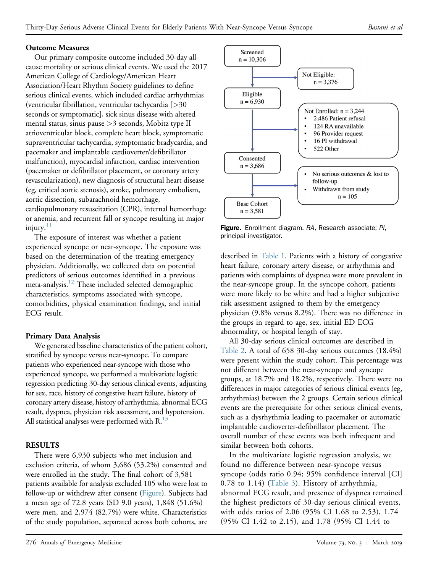## Outcome Measures

Our primary composite outcome included 30-day allcause mortality or serious clinical events. We used the 2017 American College of Cardiology/American Heart Association/Heart Rhythm Society guidelines to define serious clinical events, which included cardiac arrhythmias (ventricular fibrillation, ventricular tachycardia [>30 seconds or symptomatic], sick sinus disease with altered mental status, sinus pause >3 seconds, Mobitz type II atrioventricular block, complete heart block, symptomatic supraventricular tachycardia, symptomatic bradycardia, and pacemaker and implantable cardioverter/defibrillator malfunction), myocardial infarction, cardiac intervention (pacemaker or defibrillator placement, or coronary artery revascularization), new diagnosis of structural heart disease (eg, critical aortic stenosis), stroke, pulmonary embolism, aortic dissection, subarachnoid hemorrhage, cardiopulmonary resuscitation (CPR), internal hemorrhage or anemia, and recurrent fall or syncope resulting in major  $injury.<sup>11</sup>$ 

The exposure of interest was whether a patient experienced syncope or near-syncope. The exposure was based on the determination of the treating emergency physician. Additionally, we collected data on potential predictors of serious outcomes identified in a previous meta-analysis.<sup>12</sup> These included selected demographic characteristics, symptoms associated with syncope, comorbidities, physical examination findings, and initial ECG result.

## Primary Data Analysis

We generated baseline characteristics of the patient cohort, stratified by syncope versus near-syncope. To compare patients who experienced near-syncope with those who experienced syncope, we performed a multivariate logistic regression predicting 30-day serious clinical events, adjusting for sex, race, history of congestive heart failure, history of coronary artery disease, history of arrhythmia, abnormal ECG result, dyspnea, physician risk assessment, and hypotension. All statistical analyses were performed with  $R<sup>13</sup>$ 

## **RESULTS**

There were 6,930 subjects who met inclusion and exclusion criteria, of whom 3,686 (53.2%) consented and were enrolled in the study. The final cohort of 3,581 patients available for analysis excluded 105 who were lost to follow-up or withdrew after consent (Figure). Subjects had a mean age of 72.8 years (SD 9.0 years), 1,848 (51.6%) were men, and 2,974 (82.7%) were white. Characteristics of the study population, separated across both cohorts, are



Figure. Enrollment diagram. RA, Research associate; PI, principal investigator.

described in Table 1. Patients with a history of congestive heart failure, coronary artery disease, or arrhythmia and patients with complaints of dyspnea were more prevalent in the near-syncope group. In the syncope cohort, patients were more likely to be white and had a higher subjective risk assessment assigned to them by the emergency physician (9.8% versus 8.2%). There was no difference in the groups in regard to age, sex, initial ED ECG abnormality, or hospital length of stay.

All 30-day serious clinical outcomes are described in Table 2. A total of 658 30-day serious outcomes (18.4%) were present within the study cohort. This percentage was not different between the near-syncope and syncope groups, at 18.7% and 18.2%, respectively. There were no differences in major categories of serious clinical events (eg, arrhythmias) between the 2 groups. Certain serious clinical events are the prerequisite for other serious clinical events, such as a dysrhythmia leading to pacemaker or automatic implantable cardioverter-defibrillator placement. The overall number of these events was both infrequent and similar between both cohorts.

In the multivariate logistic regression analysis, we found no difference between near-syncope versus syncope (odds ratio 0.94; 95% confidence interval [CI] 0.78 to 1.14) (Table 3). History of arrhythmia, abnormal ECG result, and presence of dyspnea remained the highest predictors of 30-day serious clinical events, with odds ratios of 2.06 (95% CI 1.68 to 2.53), 1.74 (95% CI 1.42 to 2.15), and 1.78 (95% CI 1.44 to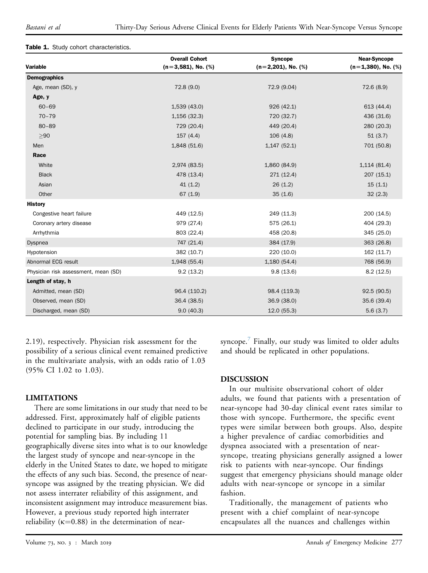#### Table 1. Study cohort characteristics.

|                                      | <b>Overall Cohort</b> | <b>Syncope</b>           | <b>Near-Syncope</b>   |
|--------------------------------------|-----------------------|--------------------------|-----------------------|
| Variable                             | $(n=3,581)$ , No. (%) | $(n=2,201)$ , No. $(\%)$ | $(n=1,380)$ , No. (%) |
| <b>Demographics</b>                  |                       |                          |                       |
| Age, mean (SD), y                    | 72.8 (9.0)            | 72.9 (9.04)              | 72.6(8.9)             |
| Age, y                               |                       |                          |                       |
| $60 - 69$                            | 1,539 (43.0)          | 926 (42.1)               | 613 (44.4)            |
| $70 - 79$                            | 1,156 (32.3)          | 720 (32.7)               | 436 (31.6)            |
| $80 - 89$                            | 729 (20.4)            | 449 (20.4)               | 280 (20.3)            |
| $>90$                                | 157(4.4)              | 106(4.8)                 | 51(3.7)               |
| Men                                  | 1,848 (51.6)          | $1,147$ (52.1)           | 701 (50.8)            |
| Race                                 |                       |                          |                       |
| White                                | 2,974 (83.5)          | 1,860 (84.9)             | 1,114(81.4)           |
| <b>Black</b>                         | 478 (13.4)            | 271 (12.4)               | 207 (15.1)            |
| Asian                                | 41(1.2)               | 26(1.2)                  | 15(1.1)               |
| Other                                | 67(1.9)               | 35(1.6)                  | 32(2.3)               |
| <b>History</b>                       |                       |                          |                       |
| Congestive heart failure             | 449 (12.5)            | 249 (11.3)               | 200 (14.5)            |
| Coronary artery disease              | 979 (27.4)            | 575 (26.1)               | 404 (29.3)            |
| Arrhythmia                           | 803 (22.4)            | 458 (20.8)               | 345 (25.0)            |
| Dyspnea                              | 747 (21.4)            | 384 (17.9)               | 363 (26.8)            |
| Hypotension                          | 382 (10.7)            | 220 (10.0)               | 162 (11.7)            |
| Abnormal ECG result                  | 1,948 (55.4)          | 1,180 (54.4)             | 768 (56.9)            |
| Physician risk assessment, mean (SD) | 9.2(13.2)             | 9.8(13.6)                | 8.2(12.5)             |
| Length of stay, h                    |                       |                          |                       |
| Admitted, mean (SD)                  | 96.4 (110.2)          | 98.4 (119.3)             | 92.5(90.5)            |
| Observed, mean (SD)                  | 36.4 (38.5)           | 36.9 (38.0)              | 35.6 (39.4)           |
| Discharged, mean (SD)                | 9.0(40.3)             | 12.0(55.3)               | 5.6(3.7)              |

2.19), respectively. Physician risk assessment for the possibility of a serious clinical event remained predictive in the multivariate analysis, with an odds ratio of 1.03 (95% CI 1.02 to 1.03).

## LIMITATIONS

There are some limitations in our study that need to be addressed. First, approximately half of eligible patients declined to participate in our study, introducing the potential for sampling bias. By including 11 geographically diverse sites into what is to our knowledge the largest study of syncope and near-syncope in the elderly in the United States to date, we hoped to mitigate the effects of any such bias. Second, the presence of nearsyncope was assigned by the treating physician. We did not assess interrater reliability of this assignment, and inconsistent assignment may introduce measurement bias. However, a previous study reported high interrater reliability ( $\kappa$ =0.88) in the determination of nearsyncope.<sup>7</sup> Finally, our study was limited to older adults and should be replicated in other populations.

## DISCUSSION

In our multisite observational cohort of older adults, we found that patients with a presentation of near-syncope had 30-day clinical event rates similar to those with syncope. Furthermore, the specific event types were similar between both groups. Also, despite a higher prevalence of cardiac comorbidities and dyspnea associated with a presentation of nearsyncope, treating physicians generally assigned a lower risk to patients with near-syncope. Our findings suggest that emergency physicians should manage older adults with near-syncope or syncope in a similar fashion.

Traditionally, the management of patients who present with a chief complaint of near-syncope encapsulates all the nuances and challenges within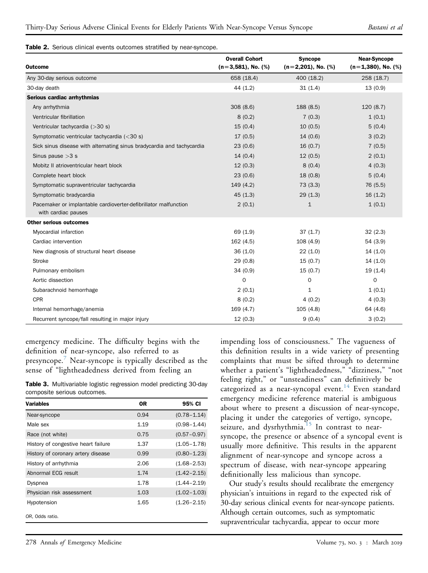#### Table 2. Serious clinical events outcomes stratified by near-syncope.

| <b>Outcome</b>                                                                         | <b>Overall Cohort</b><br>$(n=3,581)$ , No. $(\%)$ | <b>Syncope</b><br>$(n=2,201)$ , No. $(\%)$ | <b>Near-Syncope</b><br>$(n=1,380)$ , No. (%) |
|----------------------------------------------------------------------------------------|---------------------------------------------------|--------------------------------------------|----------------------------------------------|
| Any 30-day serious outcome                                                             | 658 (18.4)                                        | 400 (18.2)                                 | 258 (18.7)                                   |
| 30-day death                                                                           | 44(1.2)                                           | 31(1.4)                                    | 13(0.9)                                      |
| Serious cardiac arrhythmias                                                            |                                                   |                                            |                                              |
| Any arrhythmia                                                                         | 308(8.6)                                          | 188 (8.5)                                  | 120(8.7)                                     |
| Ventricular fibrillation                                                               | 8(0.2)                                            | 7(0.3)                                     | 1(0.1)                                       |
| Ventricular tachycardia (>30 s)                                                        | 15(0.4)                                           | 10(0.5)                                    | 5(0.4)                                       |
| Symptomatic ventricular tachycardia (<30 s)                                            | 17(0.5)                                           | 14(0.6)                                    | 3(0.2)                                       |
| Sick sinus disease with alternating sinus bradycardia and tachycardia                  | 23(0.6)                                           | 16(0.7)                                    | 7(0.5)                                       |
| Sinus pause $>3$ s                                                                     | 14(0.4)                                           | 12(0.5)                                    | 2(0.1)                                       |
| Mobitz II atrioventricular heart block                                                 | 12(0.3)                                           | 8(0.4)                                     | 4(0.3)                                       |
| Complete heart block                                                                   | 23(0.6)                                           | 18(0.8)                                    | 5(0.4)                                       |
| Symptomatic supraventricular tachycardia                                               | 149 (4.2)                                         | 73(3.3)                                    | 76 (5.5)                                     |
| Symptomatic bradycardia                                                                | 45(1.3)                                           | 29(1.3)                                    | 16(1.2)                                      |
| Pacemaker or implantable cardioverter-defibrillator malfunction<br>with cardiac pauses | 2(0.1)                                            | $\mathbf 1$                                | 1(0.1)                                       |
| <b>Other serious outcomes</b>                                                          |                                                   |                                            |                                              |
| Myocardial infarction                                                                  | 69 (1.9)                                          | 37(1.7)                                    | 32(2.3)                                      |
| Cardiac intervention                                                                   | 162(4.5)                                          | 108(4.9)                                   | 54 (3.9)                                     |
| New diagnosis of structural heart disease                                              | 36(1.0)                                           | 22(1.0)                                    | 14(1.0)                                      |
| <b>Stroke</b>                                                                          | 29(0.8)                                           | 15(0.7)                                    | 14(1.0)                                      |
| Pulmonary embolism                                                                     | 34(0.9)                                           | 15(0.7)                                    | 19(1.4)                                      |
| Aortic dissection                                                                      | $\mathbf 0$                                       | 0                                          | $\mathbf 0$                                  |
| Subarachnoid hemorrhage                                                                | 2(0.1)                                            | 1                                          | 1(0.1)                                       |
| CPR                                                                                    | 8(0.2)                                            | 4(0.2)                                     | 4(0.3)                                       |
| Internal hemorrhage/anemia                                                             | 169(4.7)                                          | 105(4.8)                                   | 64 (4.6)                                     |
| Recurrent syncope/fall resulting in major injury                                       | 12(0.3)                                           | 9(0.4)                                     | 3(0.2)                                       |

emergency medicine. The difficulty begins with the definition of near-syncope, also referred to as presyncope.<sup>7</sup> Near-syncope is typically described as the sense of "lightheadedness derived from feeling an

Table 3. Multivariable logistic regression model predicting 30-day composite serious outcomes.

| <b>Variables</b>                    | 0R   | 95% CI          |
|-------------------------------------|------|-----------------|
| Near-syncope                        | 0.94 | $(0.78 - 1.14)$ |
| Male sex                            | 1.19 | $(0.98 - 1.44)$ |
| Race (not white)                    | 0.75 | $(0.57 - 0.97)$ |
| History of congestive heart failure | 1.37 | $(1.05 - 1.78)$ |
| History of coronary artery disease  | 0.99 | $(0.80 - 1.23)$ |
| History of arrhythmia               | 2.06 | $(1.68 - 2.53)$ |
| Abnormal ECG result                 | 1.74 | $(1.42 - 2.15)$ |
| Dyspnea                             | 1.78 | $(1.44 - 2.19)$ |
| Physician risk assessment           | 1.03 | $(1.02 - 1.03)$ |
| Hypotension                         | 1.65 | $(1.26 - 2.15)$ |
| OR, Odds ratio.                     |      |                 |

impending loss of consciousness." The vagueness of this definition results in a wide variety of presenting complaints that must be sifted through to determine whether a patient's "lightheadedness," "dizziness," "not feeling right," or "unsteadiness" can definitively be categorized as a near-syncopal event.<sup>14</sup> Even standard emergency medicine reference material is ambiguous about where to present a discussion of near-syncope, placing it under the categories of vertigo, syncope, seizure, and dysrhythmia.<sup>15</sup> In contrast to nearsyncope, the presence or absence of a syncopal event is usually more definitive. This results in the apparent alignment of near-syncope and syncope across a spectrum of disease, with near-syncope appearing definitionally less malicious than syncope.

Our study's results should recalibrate the emergency physician's intuitions in regard to the expected risk of 30-day serious clinical events for near-syncope patients. Although certain outcomes, such as symptomatic supraventricular tachycardia, appear to occur more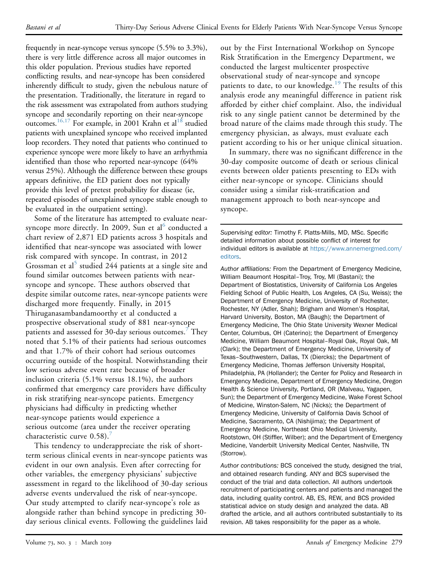frequently in near-syncope versus syncope (5.5% to 3.3%), there is very little difference across all major outcomes in this older population. Previous studies have reported conflicting results, and near-syncope has been considered inherently difficult to study, given the nebulous nature of the presentation. Traditionally, the literature in regard to the risk assessment was extrapolated from authors studying syncope and secondarily reporting on their near-syncope outcomes.<sup>16,17</sup> For example, in 2001 Krahn et al<sup>18</sup> studied patients with unexplained syncope who received implanted loop recorders. They noted that patients who continued to experience syncope were more likely to have an arrhythmia identified than those who reported near-syncope (64% versus 25%). Although the difference between these groups appears definitive, the ED patient does not typically provide this level of pretest probability for disease (ie, repeated episodes of unexplained syncope stable enough to be evaluated in the outpatient setting).

Some of the literature has attempted to evaluate nearsyncope more directly. In 2009, Sun et al $^{\circ}$  conducted a chart review of 2,871 ED patients across 3 hospitals and identified that near-syncope was associated with lower risk compared with syncope. In contrast, in 2012 Grossman et al<sup>5</sup> studied 244 patients at a single site and found similar outcomes between patients with nearsyncope and syncope. These authors observed that despite similar outcome rates, near-syncope patients were discharged more frequently. Finally, in 2015 Thiruganasambandamoorthy et al conducted a prospective observational study of 881 near-syncope patients and assessed for 30-day serious outcomes.<sup>7</sup> They noted that 5.1% of their patients had serious outcomes and that 1.7% of their cohort had serious outcomes occurring outside of the hospital. Notwithstanding their low serious adverse event rate because of broader inclusion criteria (5.1% versus 18.1%), the authors confirmed that emergency care providers have difficulty in risk stratifying near-syncope patients. Emergency physicians had difficulty in predicting whether near-syncope patients would experience a serious outcome (area under the receiver operating characteristic curve  $0.58$ ).<sup>7</sup>

This tendency to underappreciate the risk of shortterm serious clinical events in near-syncope patients was evident in our own analysis. Even after correcting for other variables, the emergency physicians' subjective assessment in regard to the likelihood of 30-day serious adverse events undervalued the risk of near-syncope. Our study attempted to clarify near-syncope's role as alongside rather than behind syncope in predicting 30 day serious clinical events. Following the guidelines laid out by the First International Workshop on Syncope Risk Stratification in the Emergency Department, we conducted the largest multicenter prospective observational study of near-syncope and syncope patients to date, to our knowledge.<sup>19</sup> The results of this analysis erode any meaningful difference in patient risk afforded by either chief complaint. Also, the individual risk to any single patient cannot be determined by the broad nature of the claims made through this study. The emergency physician, as always, must evaluate each patient according to his or her unique clinical situation.

In summary, there was no significant difference in the 30-day composite outcome of death or serious clinical events between older patients presenting to EDs with either near-syncope or syncope. Clinicians should consider using a similar risk-stratification and management approach to both near-syncope and syncope.

Supervising editor: Timothy F. Platts-Mills, MD, MSc. Specific detailed information about possible conflict of interest for individual editors is available at https://www.annemergmed.com/ editors.

Author affiliations: From the Department of Emergency Medicine, William Beaumont Hospital–Troy, Troy, MI (Bastani); the Department of Biostatistics, University of California Los Angeles Fielding School of Public Health, Los Angeles, CA (Su, Weiss); the Department of Emergency Medicine, University of Rochester, Rochester, NY (Adler, Shah); Brigham and Women's Hospital, Harvard University, Boston, MA (Baugh); the Department of Emergency Medicine, The Ohio State University Wexner Medical Center, Columbus, OH (Caterino); the Department of Emergency Medicine, William Beaumont Hospital–Royal Oak, Royal Oak, MI (Clark); the Department of Emergency Medicine, University of Texas–Southwestern, Dallas, TX (Diercks); the Department of Emergency Medicine, Thomas Jefferson University Hospital, Philadelphia, PA (Hollander); the Center for Policy and Research in Emergency Medicine, Department of Emergency Medicine, Oregon Health & Science University, Portland, OR (Malveau, Yagapen, Sun); the Department of Emergency Medicine, Wake Forest School of Medicine, Winston-Salem, NC (Nicks); the Department of Emergency Medicine, University of California Davis School of Medicine, Sacramento, CA (Nishijima); the Department of Emergency Medicine, Northeast Ohio Medical University, Rootstown, OH (Stiffler, Wilber); and the Department of Emergency Medicine, Vanderbilt University Medical Center, Nashville, TN (Storrow).

Author contributions: BCS conceived the study, designed the trial, and obtained research funding. ANY and BCS supervised the conduct of the trial and data collection. All authors undertook recruitment of participating centers and patients and managed the data, including quality control. AB, ES, REW, and BCS provided statistical advice on study design and analyzed the data. AB drafted the article, and all authors contributed substantially to its revision. AB takes responsibility for the paper as a whole.